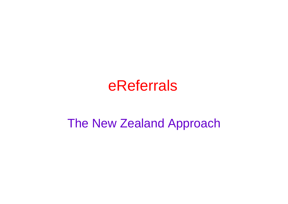## eReferrals

## The New Zealand Approach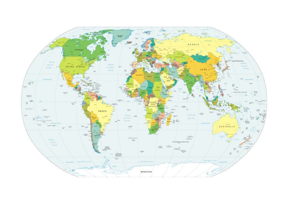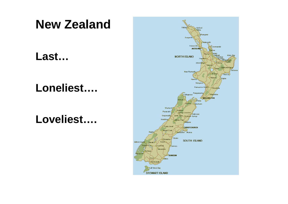## **New Zealand**

**Last…**

## **Loneliest….**

## **Loveliest….**

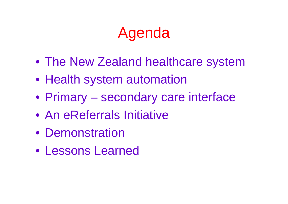# Agenda

- The New Zealand healthcare system
- Health system automation
- Primary secondary care interface
- An eReferrals Initiative
- Demonstration
- Lessons Learned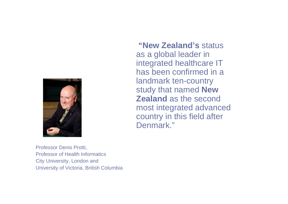

**"New Zealand's** status as a global leader in integrated healthcare IT has been confirmed in a landmark ten-country study that named **New Zealand** as the second most integrated advanced country in this field after Denmark."

Professor Denis Protti, Professor of Health Informatics City University, London and University of Victoria, British Columbia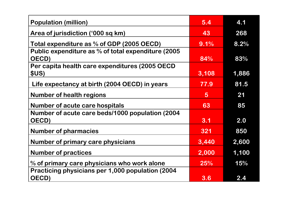| <b>Population (million)</b>                                        | 5.4            | 4.1        |
|--------------------------------------------------------------------|----------------|------------|
| Area of jurisdiction ('000 sq km)                                  | 43             | 268        |
| Total expenditure as % of GDP (2005 OECD)                          | 9.1%           | 8.2%       |
| Public expenditure as % of total expenditure (2005)<br><b>OECD</b> | 84%            | 83%        |
| Per capita health care expenditures (2005 OECD)<br>\$US)           | 3,108          | 1,886      |
| Life expectancy at birth (2004 OECD) in years                      | 77.9           | 81.5       |
| <b>Number of health regions</b>                                    | $5\phantom{1}$ | 21         |
| <b>Number of acute care hospitals</b>                              | 63             | 85         |
| Number of acute care beds/1000 population (2004)<br><b>OECD)</b>   | 3.1            | 2.0        |
| <b>Number of pharmacies</b>                                        | 321            | 850        |
| Number of primary care physicians                                  | 3,440          | 2,600      |
| <b>Number of practices</b>                                         | 2,000          | 1,100      |
| % of primary care physicians who work alone                        | 25%            | <b>15%</b> |
| Practicing physicians per 1,000 population (2004)<br><b>OECD</b>   | 3.6            | 2.4        |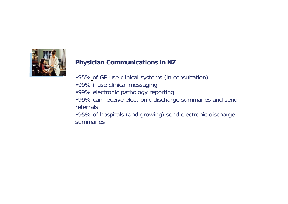

#### **Physician Communications in NZ**

- •95% of GP use clinical systems (in consultation)
- •99%+ use clinical messaging
- •99% electronic pathology reporting
- •99% can receive electronic discharge summaries and send referrals
- •95% of hospitals (and growing) send electronic discharge summaries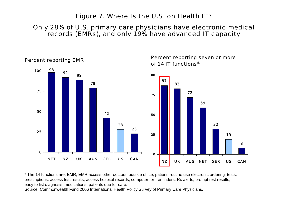#### Figure 7. Where Is the U.S. on Health IT?

Only 28% of U.S. primary care physicians have electronic medical records (EMRs), and only 19% have advanced IT capacity



Percent reporting EMR

Percent reporting seven or more of 14 IT functions\*

\* The 14 functions are: EMR, EMR access other doctors, outside office, patient; routine use electronic ordering tests, prescriptions, access test results, access hospital records; computer for reminders, Rx alerts, prompt test results; easy to list dia gnosis, medications, patients due for care.

Source: Commonwealth Fund 2006 International Health Policy Survey of Primary Care Physicians.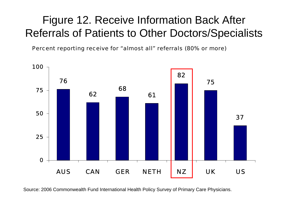## Figure 12. Receive Information Back After Referrals of Patients to Other Doctors/Specialists

Percent reporting receive for "almost all" referrals (80% or more)



Source: 2006 Commonwealth Fund International Health Policy Survey of Primary Care Physicians.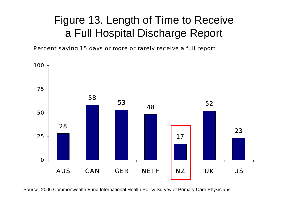## Figure 13. Length of Time to Receive a Full Hospital Discharge Report

Percent saying 15 days or more or r arely receive a full r epor t



Source: 2006 Commonwealth Fund International Health Policy Survey of Primary Care Physicians.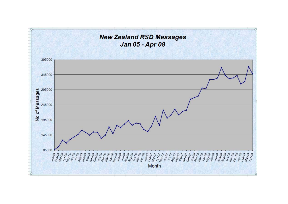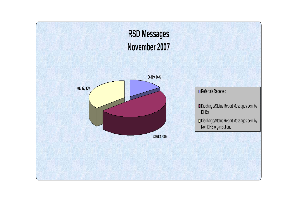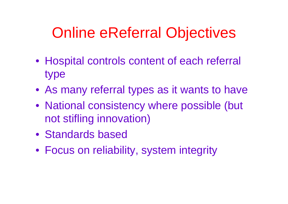# Online eReferral Objectives

- Hospital controls content of each referral type
- As many referral types as it wants to have
- National consistency where possible (but not stifling innovation)
- •Standards based
- Focus on reliability, system integrity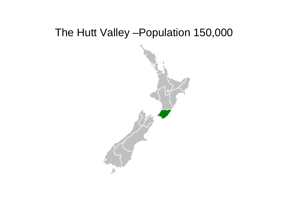### The Hutt Valley –Population 150,000

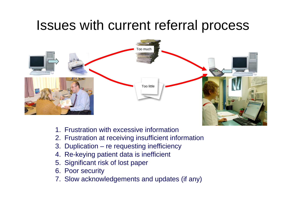## Issues with current referral process



- 1. Frustration with excessive information
- 2. Frustration at receiving insufficient information
- 3. Duplication re requesting inefficiency
- 4. Re-keying patient data is inefficient
- 5. Significant risk of lost paper
- 6. Poor security
- 7. Slow acknowledgements and updates (if any)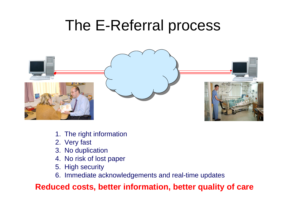# The E-Referral process



- 1. The right information
- 2. Very fast
- 3. No duplication
- 4. No risk of lost paper
- 5. High security
- 6. Immediate acknowledgements and real-time updates

#### **Reduced costs, better information, better quality of care**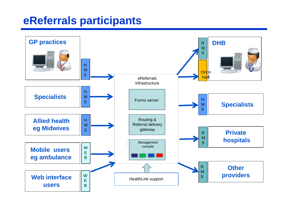### **eReferrals participants**

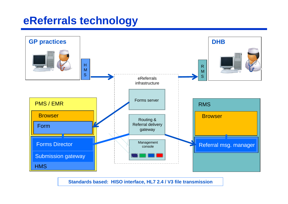## **eReferrals technology**



**Standards based: HISO interface, HL7 2.4 / V3 file transmission**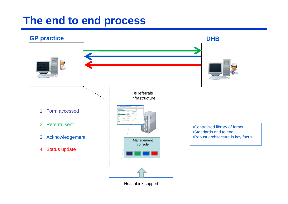### **The end to end process**

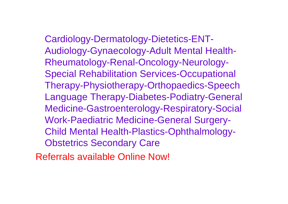Cardiology-Dermatology-Dietetics-ENT-Audiology-Gynaecology-Adult Mental Health-Rheumatology-Renal-Oncology-Neurology-Special Rehabilitation Services-Occupational Therapy-Physiotherapy-Orthopaedics-Speech Language Therapy-Diabetes-Podiatry-General Medicine-Gastroenterology-Respiratory-Social Work-Paediatric Medicine-General Surgery-Child Mental Health-Plastics-Ophthalmology-Obstetrics Secondary Care

Referrals available Online Now!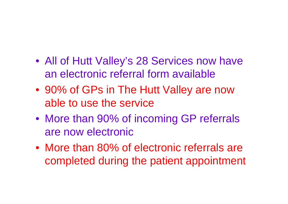- All of Hutt Valley's 28 Services now have an electronic referral form available
- 90% of GPs in The Hutt Valley are now able to use the service
- More than 90% of incoming GP referrals are now electronic
- More than 80% of electronic referrals are completed during the patient appointment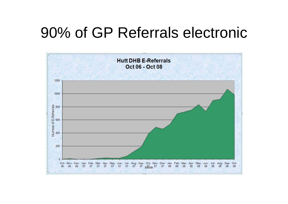# 90% of GP Referrals electronic

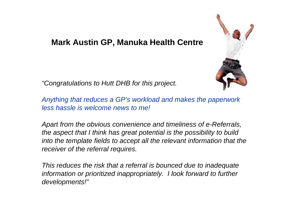

### **Mark Austin GP, Manuka Health Centre**

*"Congratulations to Hutt DHB for this project.* 

*Anything that reduces a GP's workload and makes the paperwork less hassle is welcome news to me!*

*Apart from the obvious convenience and timeliness of e-Referrals, the aspect that I think has great potential is the possibility to build into the template fields to accept all the relevant information that the receiver of the referral requires.*

*This reduces the risk that a referral is bounced due to inadequate information or prioritized inappropriately. I look forward to further developments!"*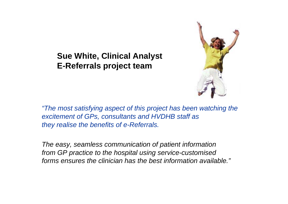### **Sue White, Clinical Analyst E-Referrals project team**



*"The most satisfying aspect of this project has been watching the excitement of GPs, consultants and HVDHB staff as they realise the benefits of e-Referrals.*

*The easy, seamless communication of patient information from GP practice to the hospital using service-customised forms ensures the clinician has the best information available."*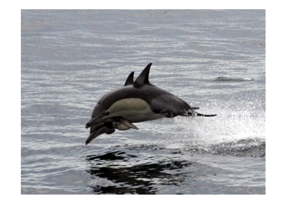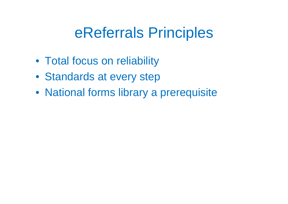# eReferrals Principles

- Total focus on reliability
- Standards at every step
- National forms library a prerequisite